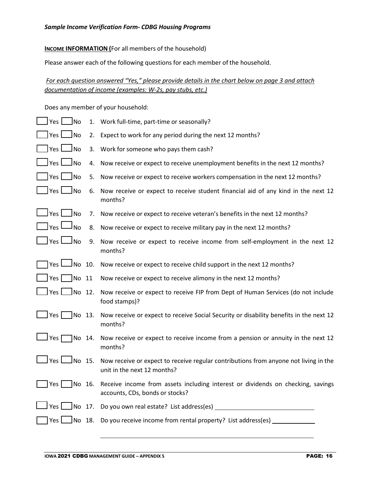**INCOME INFORMATION** (For all members of the household)

Please answer each of the following questions for each member of the household.

*For each question answered "Yes," please provide details in the chart below on page 3 and attach documentation of income (examples: W-2s, pay stubs, etc.)*

Does any member of your household:

| Yes $\Box$<br><b>No</b>                                                                       |        | 1. Work full-time, part-time or seasonally?                                                                         |  |  |
|-----------------------------------------------------------------------------------------------|--------|---------------------------------------------------------------------------------------------------------------------|--|--|
| JNo<br> Yes                                                                                   | 2.     | Expect to work for any period during the next 12 months?                                                            |  |  |
| 」No<br>] Yes $\Box$                                                                           | 3.     | Work for someone who pays them cash?                                                                                |  |  |
| ∫Yes l<br>JNo                                                                                 | 4.     | Now receive or expect to receive unemployment benefits in the next 12 months?                                       |  |  |
| ∫No                                                                                           | 5.     | Now receive or expect to receive workers compensation in the next 12 months?                                        |  |  |
| 」No<br>$\mathsf{\,}$ Yes $\mathsf{\,}\mathsf{\,}\mathsf{\,}\mathsf{\,}\mathsf{\,}\mathsf{\,}$ | 6.     | Now receive or expect to receive student financial aid of any kind in the next 12<br>months?                        |  |  |
| ⊥Yes l<br>_No                                                                                 | 7.     | Now receive or expect to receive veteran's benefits in the next 12 months?                                          |  |  |
| ا Yes<br>Ino                                                                                  | 8.     | Now receive or expect to receive military pay in the next 12 months?                                                |  |  |
| J Yes L<br>Jno                                                                                | 9.     | Now receive or expect to receive income from self-employment in the next 12<br>months?                              |  |  |
| JNo 10.<br> Yes l                                                                             |        | Now receive or expect to receive child support in the next 12 months?                                               |  |  |
| Yes  <br>$\begin{bmatrix} \text{No} & \text{11} \end{bmatrix}$                                |        | Now receive or expect to receive alimony in the next 12 months?                                                     |  |  |
| $J$ No 12.<br>J Yes L                                                                         |        | Now receive or expect to receive FIP from Dept of Human Services (do not include<br>food stamps)?                   |  |  |
| Yes $\lceil$<br>No 13.                                                                        |        | Now receive or expect to receive Social Security or disability benefits in the next 12<br>months?                   |  |  |
| J Yes [<br>No 14.                                                                             |        | Now receive or expect to receive income from a pension or annuity in the next 12<br>months?                         |  |  |
| Yes $\mathsf{\mathsf{L}}$<br>JNo 15.                                                          |        | Now receive or expect to receive regular contributions from anyone not living in the<br>unit in the next 12 months? |  |  |
| Yes                                                                                           | No 16. | Receive income from assets including interest or dividends on checking, savings<br>accounts, CDs, bonds or stocks?  |  |  |
| ∫No 17.<br>Yes l                                                                              |        | Do you own real estate? List address(es) __                                                                         |  |  |
| Yes  <br>]No 18.                                                                              |        | Do you receive income from rental property? List address(es)                                                        |  |  |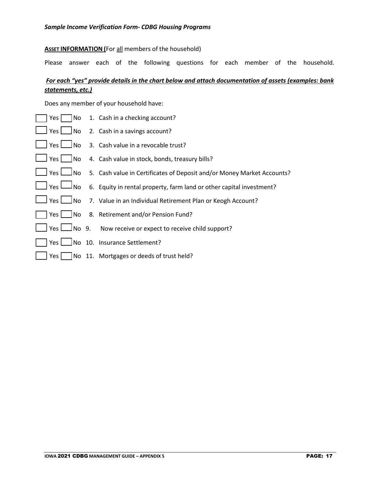## **ASSET INFORMATION (**For all members of the household)

Please answer each of the following questions for each member of the household.

## *For each "yes" provide details in the chart below and attach documentation of assets (examples: bank statements, etc.)*

Does any member of your household have:

| No]<br>Yes         | 1. Cash in a checking account?                                         |
|--------------------|------------------------------------------------------------------------|
| $Yes \bigsqcup No$ | 2. Cash in a savings account?                                          |
| $Yes \Box No$      | 3. Cash value in a revocable trust?                                    |
| $Yes$ No           | 4. Cash value in stock, bonds, treasury bills?                         |
| Yes $\Box$ No      | 5. Cash value in Certificates of Deposit and/or Money Market Accounts? |
| J Yes └─J No       | 6. Equity in rental property, farm land or other capital investment?   |
| $Yes \Box No$      | 7. Value in an Individual Retirement Plan or Keogh Account?            |
|                    | Yes   No 8. Retirement and/or Pension Fund?                            |
|                    | Yes <b>L</b> No 9. Now receive or expect to receive child support?     |
|                    | Yes   No 10. Insurance Settlement?                                     |
| Yes                | No 11. Mortgages or deeds of trust held?                               |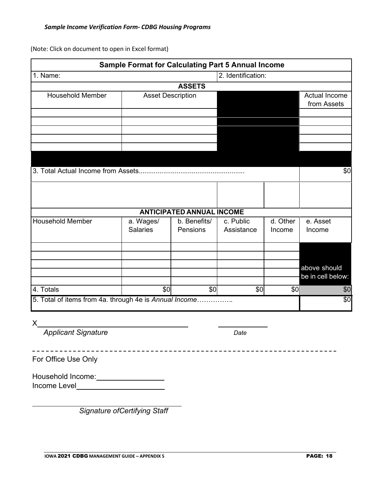(Note: Click on document to open in Excel format)

|                                                        | <b>Sample Format for Calculating Part 5 Annual Income</b> |                                  |                         |                    |                      |
|--------------------------------------------------------|-----------------------------------------------------------|----------------------------------|-------------------------|--------------------|----------------------|
| 1. Name:                                               |                                                           | 2. Identification:               |                         |                    |                      |
|                                                        |                                                           | <b>ASSETS</b>                    |                         |                    |                      |
| <b>Household Member</b>                                | <b>Asset Description</b>                                  |                                  |                         |                    | <b>Actual Income</b> |
|                                                        |                                                           |                                  |                         |                    | from Assets          |
|                                                        |                                                           |                                  |                         |                    |                      |
|                                                        |                                                           |                                  |                         |                    |                      |
|                                                        |                                                           |                                  |                         |                    |                      |
|                                                        |                                                           |                                  |                         |                    |                      |
|                                                        |                                                           |                                  |                         |                    |                      |
|                                                        |                                                           |                                  |                         |                    | \$0                  |
|                                                        |                                                           |                                  |                         |                    |                      |
|                                                        |                                                           |                                  |                         |                    |                      |
|                                                        |                                                           |                                  |                         |                    |                      |
|                                                        |                                                           |                                  |                         |                    |                      |
| <b>Household Member</b>                                |                                                           | <b>ANTICIPATED ANNUAL INCOME</b> |                         |                    |                      |
|                                                        | a. Wages/<br><b>Salaries</b>                              | b. Benefits/<br>Pensions         | c. Public<br>Assistance | d. Other<br>Income | e. Asset<br>Income   |
|                                                        |                                                           |                                  |                         |                    |                      |
|                                                        |                                                           |                                  |                         |                    |                      |
|                                                        |                                                           |                                  |                         |                    |                      |
|                                                        |                                                           |                                  |                         |                    | above should         |
|                                                        |                                                           |                                  |                         |                    | be in cell below:    |
|                                                        |                                                           |                                  |                         |                    |                      |
| $\overline{4}$ . Totals                                | \$0                                                       | \$0                              | \$0                     | \$0                | \$0                  |
| 5. Total of items from 4a. through 4e is Annual Income |                                                           |                                  |                         |                    | \$0                  |
|                                                        |                                                           |                                  |                         |                    |                      |
| X                                                      |                                                           |                                  |                         |                    |                      |
| <b>Applicant Signature</b>                             |                                                           |                                  | Date                    |                    |                      |
|                                                        |                                                           |                                  |                         |                    |                      |
|                                                        |                                                           |                                  |                         |                    |                      |
| For Office Use Only                                    |                                                           |                                  |                         |                    |                      |
|                                                        |                                                           |                                  |                         |                    |                      |
|                                                        |                                                           |                                  |                         |                    |                      |
|                                                        |                                                           |                                  |                         |                    |                      |
|                                                        |                                                           |                                  |                         |                    |                      |

*Signature ofCertifying Staff*